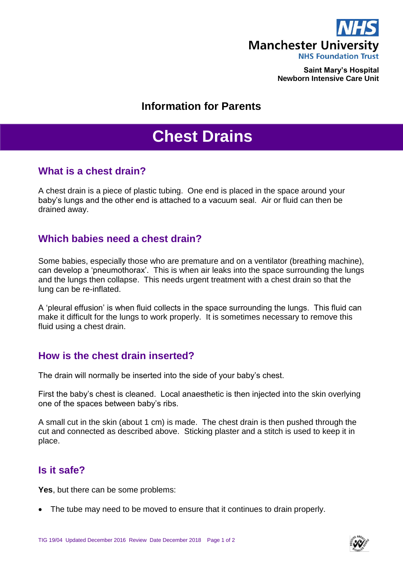

**Saint Mary's Hospital Newborn Intensive Care Unit**

## **Information for Parents**

# **Chest Drains**

#### **What is a chest drain?**

A chest drain is a piece of plastic tubing. One end is placed in the space around your baby's lungs and the other end is attached to a vacuum seal. Air or fluid can then be drained away.

#### **Which babies need a chest drain?**

Some babies, especially those who are premature and on a ventilator (breathing machine), can develop a 'pneumothorax'. This is when air leaks into the space surrounding the lungs and the lungs then collapse. This needs urgent treatment with a chest drain so that the lung can be re-inflated.

A 'pleural effusion' is when fluid collects in the space surrounding the lungs. This fluid can make it difficult for the lungs to work properly. It is sometimes necessary to remove this fluid using a chest drain.

## **How is the chest drain inserted?**

The drain will normally be inserted into the side of your baby's chest.

First the baby's chest is cleaned. Local anaesthetic is then injected into the skin overlying one of the spaces between baby's ribs.

A small cut in the skin (about 1 cm) is made. The chest drain is then pushed through the cut and connected as described above. Sticking plaster and a stitch is used to keep it in place.

## **Is it safe?**

**Yes**, but there can be some problems:

The tube may need to be moved to ensure that it continues to drain properly.